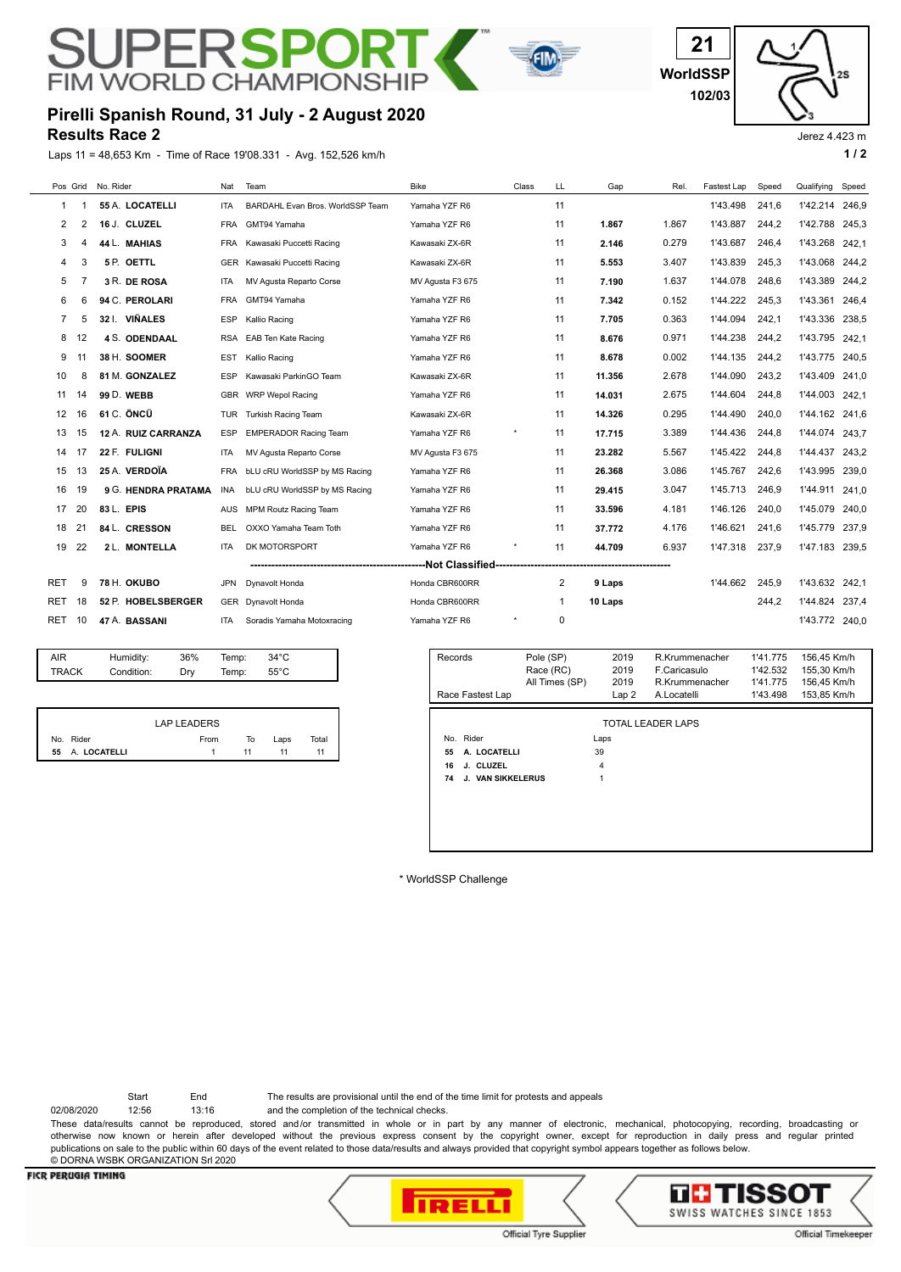## $\mathsf{P}\mathsf{F}$ くヘト **FIM WORLD CHAMPION**



**WorldSSP 21 102/03**

## **Results Race 2 Pirelli Spanish Round, 31 July - 2 August 2020**

Laps 11 = 48,653 Km - Time of Race 19'08.331 - Avg. 152,526 km/h **1 / 2 1 / 2** 



## Jerez 4.423 m

|              |                                             | Pos Grid No. Rider   | Nat        | Team                             | <b>Bike</b>      | Class | LL                     | Gap          | Rel.                           | Fastest Lap | Speed                | Qualifying Speed           |       |
|--------------|---------------------------------------------|----------------------|------------|----------------------------------|------------------|-------|------------------------|--------------|--------------------------------|-------------|----------------------|----------------------------|-------|
| 1            |                                             | 55 A. LOCATELLI      | <b>ITA</b> | BARDAHL Evan Bros. WorldSSP Team | Yamaha YZF R6    |       | 11                     |              |                                | 1'43.498    | 241,6                | 1'42.214                   | 246,9 |
| 2            | $\overline{2}$                              | 16 J. CLUZEL         | <b>FRA</b> | GMT94 Yamaha                     | Yamaha YZF R6    |       | 11                     | 1.867        | 1.867                          | 1'43.887    | 244,2                | 1'42.788                   | 245.3 |
| 3            | 4                                           | 44 L. MAHIAS         | <b>FRA</b> | Kawasaki Puccetti Racing         | Kawasaki ZX-6R   |       | 11                     | 2.146        | 0.279                          | 1'43.687    | 246,4                | 1'43.268                   | 242,1 |
| 4            | 3                                           | 5 P. OETTL           | <b>GER</b> | Kawasaki Puccetti Racing         | Kawasaki ZX-6R   |       | 11                     | 5.553        | 3.407                          | 1'43.839    | 245,3                | 1'43.068                   | 244.2 |
| 5            | 7                                           | 3 R. DE ROSA         | <b>ITA</b> | MV Agusta Reparto Corse          | MV Agusta F3 675 |       | 11                     | 7.190        | 1.637                          | 1'44.078    | 248.6                | 1'43.389                   | 244.2 |
| 6            | 6                                           | 94 C. PEROLARI       | <b>FRA</b> | GMT94 Yamaha                     | Yamaha YZF R6    |       | 11                     | 7.342        | 0.152                          | 1'44.222    | 245,3                | 1'43.361                   | 246,4 |
| 7            | 5                                           | 32 I. VIÑALES        | <b>ESP</b> | Kallio Racing                    | Yamaha YZF R6    |       | 11                     | 7.705        | 0.363                          | 1'44.094    | 242,1                | 1'43.336                   | 238,5 |
| 8            | 12                                          | <b>4 S. ODENDAAL</b> | <b>RSA</b> | <b>EAB Ten Kate Racing</b>       | Yamaha YZF R6    |       | 11                     | 8.676        | 0.971                          | 1'44.238    | 244.2                | 1'43.795                   | 242.1 |
| 9            | 11                                          | 38 H. SOOMER         | EST        | Kallio Racing                    | Yamaha YZF R6    |       | 11                     | 8.678        | 0.002                          | 1'44.135    | 244,2                | 1'43.775                   | 240,5 |
| 10           | 8                                           | 81 M. GONZALEZ       | <b>ESP</b> | Kawasaki ParkinGO Team           | Kawasaki ZX-6R   |       | 11                     | 11.356       | 2.678                          | 1'44.090    | 243,2                | 1'43.409                   | 241.0 |
| 11           | 14                                          | 99 D. WEBB           |            | GBR WRP Wepol Racing             | Yamaha YZF R6    |       | 11                     | 14.031       | 2.675                          | 1'44.604    | 244.8                | 1'44.003                   | 242.1 |
| 12           | 16                                          | 61 C. ÖNCÜ           | TUR        | <b>Turkish Racing Team</b>       | Kawasaki ZX-6R   |       | 11                     | 14.326       | 0.295                          | 1'44.490    | 240,0                | 1'44.162                   | 241,6 |
| 13           | 15                                          | 12 A. RUIZ CARRANZA  | <b>ESP</b> | <b>EMPERADOR Racing Team</b>     | Yamaha YZF R6    |       | 11                     | 17.715       | 3.389                          | 1'44.436    | 244,8                | 1'44.074                   | 243,7 |
| 14           | 17                                          | 22 F. FULIGNI        | <b>ITA</b> | MV Agusta Reparto Corse          | MV Agusta F3 675 |       | 11                     | 23.282       | 5.567                          | 1'45.422    | 244.8                | 1'44.437                   | 243.2 |
| 15           | 13                                          | 25 A. VERDOÏA        | <b>FRA</b> | bLU cRU WorldSSP by MS Racing    | Yamaha YZF R6    |       | 11                     | 26.368       | 3.086                          | 1'45.767    | 242.6                | 1'43.995                   | 239.0 |
| 16           | 19                                          | 9 G. HENDRA PRATAMA  | INA        | bLU cRU WorldSSP by MS Racing    | Yamaha YZF R6    |       | 11                     | 29.415       | 3.047                          | 1'45.713    | 246,9                | 1'44.911                   | 241.0 |
| 17           | 20                                          | 83 L. EPIS           | AUS        | <b>MPM Routz Racing Team</b>     | Yamaha YZF R6    |       | 11                     | 33.596       | 4.181                          | 1'46.126    | 240.0                | 1'45.079                   | 240.0 |
| 18           | 21                                          | 84 L. CRESSON        | <b>BEL</b> | OXXO Yamaha Team Toth            | Yamaha YZF R6    |       | 11                     | 37.772       | 4.176                          | 1'46.621    | 241.6                | 1'45.779                   | 237,9 |
| 19           | 22                                          | 2 L. MONTELLA        | <b>ITA</b> | DK MOTORSPORT                    | Yamaha YZF R6    |       | 11                     | 44.709       | 6.937                          | 1'47.318    | 237,9                | 1'47.183                   | 239,5 |
|              | ---Not Classified-------------------------- |                      |            |                                  |                  |       |                        |              |                                |             |                      |                            |       |
| RET          | 9                                           | 78 H. OKUBO          | JPN        | Dynavolt Honda                   | Honda CBR600RR   |       | 2                      | 9 Laps       |                                | 1'44.662    | 245,9                | 1'43.632                   | 242,1 |
| RET          | 18                                          | 52 P. HOBELSBERGER   | <b>GER</b> | Dynavolt Honda                   | Honda CBR600RR   |       | 1                      | 10 Laps      |                                |             | 244,2                | 1'44.824                   | 237,4 |
| RET          | 10                                          | 47 A. BASSANI        | <b>ITA</b> | Soradis Yamaha Motoxracing       | Yamaha YZF R6    |       | 0                      |              |                                |             |                      | 1'43.772 240,0             |       |
|              |                                             |                      |            |                                  |                  |       |                        |              |                                |             |                      |                            |       |
| AIR.         |                                             | 36%<br>Humidity:     | Temp:      | $34^{\circ}$ C                   | Records          |       | Pole (SP)<br>Race (RC) | 2019<br>2019 | R.Krummenacher<br>F.Caricasulo |             | 1'41.775<br>1'42.532 | 156,45 Km/h<br>155,30 Km/h |       |
| <b>TRACK</b> |                                             | Condition:<br>Dry    | Temp:      | $55^{\circ}$ C                   |                  |       | All Times (SP)         | 2019         | R.Krummenacher                 |             | 1'41.775             | 156,45 Km/h                |       |
|              |                                             |                      |            |                                  | Race Fastest Lap |       |                        | Lap 2        | A.Locatelli                    |             | 1'43.498             | 153,85 Km/h                |       |

|                 | LAP LEADERS |    |      |       |
|-----------------|-------------|----|------|-------|
| No. Rider       | From        | To | Laps | Total |
| 55 A. LOCATELLI | 1.          | 11 | 11   | 11    |

|    | Race Fastest Lap  | All Times (SP) | 2019<br>Lap2 | R.Krummenacher<br>A.Locatelli | 1'41.775<br>1'43.498 | 156,45 Km/h<br>153,85 Km/h |
|----|-------------------|----------------|--------------|-------------------------------|----------------------|----------------------------|
|    |                   |                |              |                               |                      |                            |
|    |                   |                |              | <b>TOTAL LEADER LAPS</b>      |                      |                            |
|    | No. Rider         |                | Laps         |                               |                      |                            |
| 55 | A. LOCATELLI      |                | 39           |                               |                      |                            |
| 16 | J. CLUZEL         |                | 4            |                               |                      |                            |
| 74 | J. VAN SIKKELERUS |                |              |                               |                      |                            |
|    |                   |                |              |                               |                      |                            |
|    |                   |                |              |                               |                      |                            |
|    |                   |                |              |                               |                      |                            |
|    |                   |                |              |                               |                      |                            |
|    |                   |                |              |                               |                      |                            |

\* WorldSSP Challenge

Start End The results are provisional until the end of the time limit for protests and appeals

02/08/2020 12:56 13:16 and the completion of the technical checks. These data/results cannot be reproduced, stored and/or transmitted in whole or in part by any manner of electronic, mechanical, photocopying, recording, broadcasting or otherwise now known or herein after developed without the previous express consent by the copyright owner, except for reproduction in daily press and regular printed publications on sale to the public within 60 days of the event related to those data/results and always provided that copyright symbol appears together as follows below. © DORNA WSBK ORGANIZATION Srl 2020

### **FICR PERUGIA TIMING**